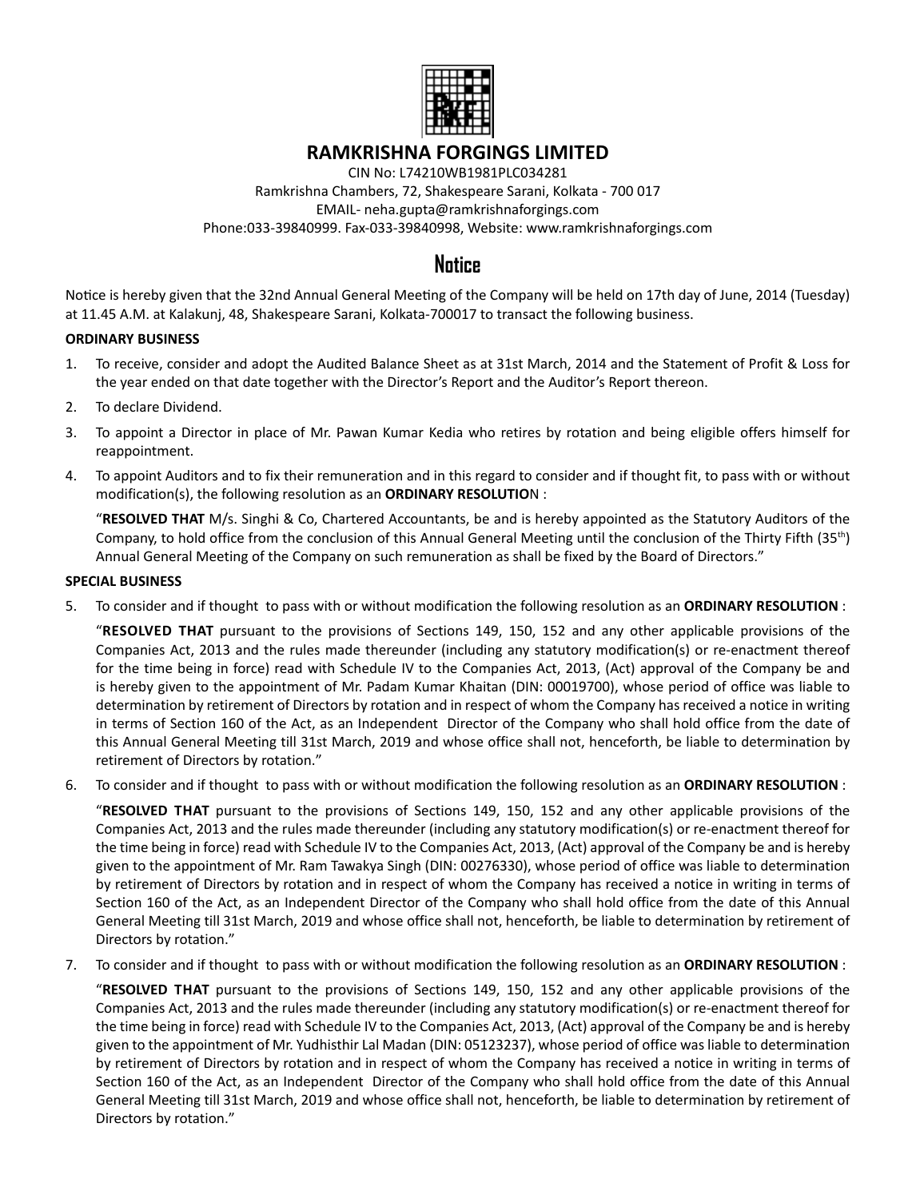

# **RAMKRISHNA FORGINGS LIMITED**

CIN No: L74210WB1981PLC034281 Ramkrishna Chambers, 72, Shakespeare Sarani, Kolkata - 700 017 EMAIL- neha.gupta@ramkrishnaforgings.com Phone:033-39840999. Fax-033-39840998, Website: www.ramkrishnaforgings.com

# **Notice**

Notice is hereby given that the 32nd Annual General Meeting of the Company will be held on 17th day of June, 2014 (Tuesday) at 11.45 A.M. at Kalakunj, 48, Shakespeare Sarani, Kolkata-700017 to transact the following business.

# **ORDINARY BUSINESS**

- 1. To receive, consider and adopt the Audited Balance Sheet as at 31st March, 2014 and the Statement of Profit & Loss for the year ended on that date together with the Director's Report and the Auditor's Report thereon.
- 2. To declare Dividend.
- 3. To appoint a Director in place of Mr. Pawan Kumar Kedia who retires by rotation and being eligible offers himself for reappointment.
- 4. To appoint Auditors and to fix their remuneration and in this regard to consider and if thought fit, to pass with or without modification(s), the following resolution as an **ORDINARY RESOLUTIO**N :

 "**RESOLVED THAT** M/s. Singhi & Co, Chartered Accountants, be and is hereby appointed as the Statutory Auditors of the Company, to hold office from the conclusion of this Annual General Meeting until the conclusion of the Thirty Fifth (35th) Annual General Meeting of the Company on such remuneration as shall be fixed by the Board of Directors."

#### **SPECIAL BUSINESS**

5. To consider and if thought to pass with or without modification the following resolution as an **ORDINARY RESOLUTION** :

 "**RESOLVED THAT** pursuant to the provisions of Sections 149, 150, 152 and any other applicable provisions of the Companies Act, 2013 and the rules made thereunder (including any statutory modification(s) or re-enactment thereof for the time being in force) read with Schedule IV to the Companies Act, 2013, (Act) approval of the Company be and is hereby given to the appointment of Mr. Padam Kumar Khaitan (DIN: 00019700), whose period of office was liable to determination by retirement of Directors by rotation and in respect of whom the Company has received a notice in writing in terms of Section 160 of the Act, as an Independent Director of the Company who shall hold office from the date of this Annual General Meeting till 31st March, 2019 and whose office shall not, henceforth, be liable to determination by retirement of Directors by rotation."

6. To consider and if thought to pass with or without modification the following resolution as an **ORDINARY RESOLUTION** :

 "**RESOLVED THAT** pursuant to the provisions of Sections 149, 150, 152 and any other applicable provisions of the Companies Act, 2013 and the rules made thereunder (including any statutory modification(s) or re-enactment thereof for the time being in force) read with Schedule IV to the Companies Act, 2013, (Act) approval of the Company be and is hereby given to the appointment of Mr. Ram Tawakya Singh (DIN: 00276330), whose period of office was liable to determination by retirement of Directors by rotation and in respect of whom the Company has received a notice in writing in terms of Section 160 of the Act, as an Independent Director of the Company who shall hold office from the date of this Annual General Meeting till 31st March, 2019 and whose office shall not, henceforth, be liable to determination by retirement of Directors by rotation."

7. To consider and if thought to pass with or without modification the following resolution as an **ORDINARY RESOLUTION** :

 "**RESOLVED THAT** pursuant to the provisions of Sections 149, 150, 152 and any other applicable provisions of the Companies Act, 2013 and the rules made thereunder (including any statutory modification(s) or re-enactment thereof for the time being in force) read with Schedule IV to the Companies Act, 2013, (Act) approval of the Company be and is hereby given to the appointment of Mr. Yudhisthir Lal Madan (DIN: 05123237), whose period of office was liable to determination by retirement of Directors by rotation and in respect of whom the Company has received a notice in writing in terms of Section 160 of the Act, as an Independent Director of the Company who shall hold office from the date of this Annual General Meeting till 31st March, 2019 and whose office shall not, henceforth, be liable to determination by retirement of Directors by rotation."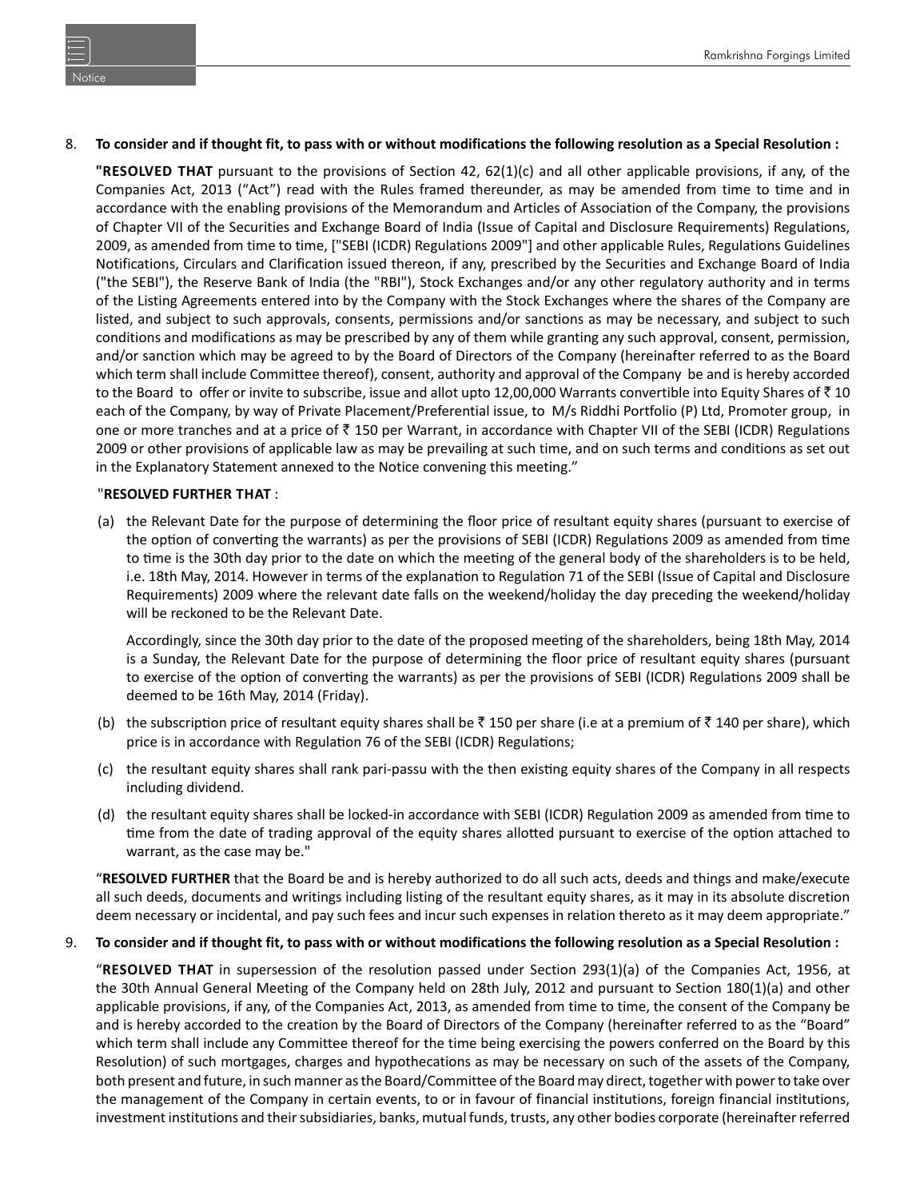### 8. **To consider and if thought fit, to pass with or without modifications the following resolution as a Special Resolution :**

**"RESOLVED THAT** pursuant to the provisions of Section 42, 62(1)(c) and all other applicable provisions, if any, of the Companies Act, 2013 ("Act") read with the Rules framed thereunder, as may be amended from time to time and in accordance with the enabling provisions of the Memorandum and Articles of Association of the Company, the provisions of Chapter VII of the Securities and Exchange Board of India (Issue of Capital and Disclosure Requirements) Regulations, 2009, as amended from time to time, ["SEBI (ICDR) Regulations 2009"] and other applicable Rules, Regulations Guidelines Notifications, Circulars and Clarification issued thereon, if any, prescribed by the Securities and Exchange Board of India ("the SEBI"), the Reserve Bank of India (the "RBI"), Stock Exchanges and/or any other regulatory authority and in terms of the Listing Agreements entered into by the Company with the Stock Exchanges where the shares of the Company are listed, and subject to such approvals, consents, permissions and/or sanctions as may be necessary, and subject to such conditions and modifications as may be prescribed by any of them while granting any such approval, consent, permission, and/or sanction which may be agreed to by the Board of Directors of the Company (hereinafter referred to as the Board which term shall include Committee thereof), consent, authority and approval of the Company be and is hereby accorded to the Board to offer or invite to subscribe, issue and allot upto 12,00,000 Warrants convertible into Equity Shares of  $\bar{c}$  10 each of the Company, by way of Private Placement/Preferential issue, to M/s Riddhi Portfolio (P) Ltd, Promoter group, in one or more tranches and at a price of  $\bar{\tau}$  150 per Warrant, in accordance with Chapter VII of the SEBI (ICDR) Regulations 2009 or other provisions of applicable law as may be prevailing at such time, and on such terms and conditions as set out in the Explanatory Statement annexed to the Notice convening this meeting."

### "**RESOLVED FURTHER THAT** :

 (a) the Relevant Date for the purpose of determining the floor price of resultant equity shares (pursuant to exercise of the option of converting the warrants) as per the provisions of SEBI (ICDR) Regulations 2009 as amended from time to time is the 30th day prior to the date on which the meeting of the general body of the shareholders is to be held, i.e. 18th May, 2014. However in terms of the explanation to Regulation 71 of the SEBI (Issue of Capital and Disclosure Requirements) 2009 where the relevant date falls on the weekend/holiday the day preceding the weekend/holiday will be reckoned to be the Relevant Date.

Accordingly, since the 30th day prior to the date of the proposed meeting of the shareholders, being 18th May, 2014 is a Sunday, the Relevant Date for the purpose of determining the floor price of resultant equity shares (pursuant to exercise of the option of converting the warrants) as per the provisions of SEBI (ICDR) Regulations 2009 shall be deemed to be 16th May, 2014 (Friday).

- (b) the subscription price of resultant equity shares shall be  $\bar{\tau}$  150 per share (i.e at a premium of  $\bar{\tau}$  140 per share), which price is in accordance with Regulation 76 of the SEBI (ICDR) Regulations;
- (c) the resultant equity shares shall rank pari-passu with the then existing equity shares of the Company in all respects including dividend.
- (d) the resultant equity shares shall be locked-in accordance with SEBI (ICDR) Regulation 2009 as amended from time to time from the date of trading approval of the equity shares allotted pursuant to exercise of the option attached to warrant, as the case may be."

 "**RESOLVED FURTHER** that the Board be and is hereby authorized to do all such acts, deeds and things and make/execute all such deeds, documents and writings including listing of the resultant equity shares, as it may in its absolute discretion deem necessary or incidental, and pay such fees and incur such expenses in relation thereto as it may deem appropriate."

#### 9. **To consider and if thought fit, to pass with or without modifications the following resolution as a Special Resolution :**

 "**RESOLVED THAT** in supersession of the resolution passed under Section 293(1)(a) of the Companies Act, 1956, at the 30th Annual General Meeting of the Company held on 28th July, 2012 and pursuant to Section 180(1)(a) and other applicable provisions, if any, of the Companies Act, 2013, as amended from time to time, the consent of the Company be and is hereby accorded to the creation by the Board of Directors of the Company (hereinafter referred to as the "Board" which term shall include any Committee thereof for the time being exercising the powers conferred on the Board by this Resolution) of such mortgages, charges and hypothecations as may be necessary on such of the assets of the Company, both present and future, in such manner as the Board/Committee of the Board may direct, together with power to take over the management of the Company in certain events, to or in favour of financial institutions, foreign financial institutions, investment institutions and their subsidiaries, banks, mutual funds, trusts, any other bodies corporate (hereinafter referred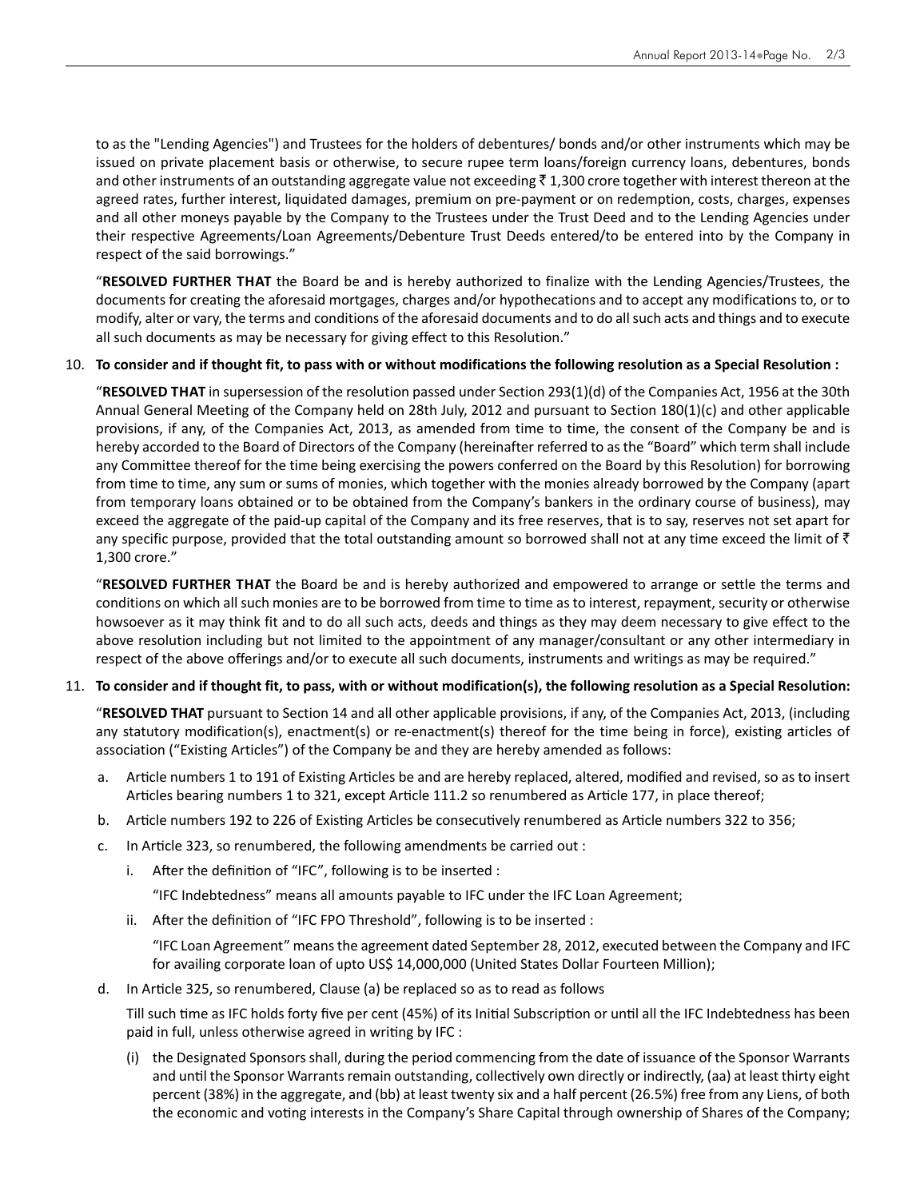to as the "Lending Agencies") and Trustees for the holders of debentures/ bonds and/or other instruments which may be issued on private placement basis or otherwise, to secure rupee term loans/foreign currency loans, debentures, bonds and other instruments of an outstanding aggregate value not exceeding  $\bar{z}$  1,300 crore together with interest thereon at the agreed rates, further interest, liquidated damages, premium on pre-payment or on redemption, costs, charges, expenses and all other moneys payable by the Company to the Trustees under the Trust Deed and to the Lending Agencies under their respective Agreements/Loan Agreements/Debenture Trust Deeds entered/to be entered into by the Company in respect of the said borrowings."

 "**RESOLVED FURTHER THAT** the Board be and is hereby authorized to finalize with the Lending Agencies/Trustees, the documents for creating the aforesaid mortgages, charges and/or hypothecations and to accept any modifications to, or to modify, alter or vary, the terms and conditions of the aforesaid documents and to do all such acts and things and to execute all such documents as may be necessary for giving effect to this Resolution."

### 10. **To consider and if thought fit, to pass with or without modifications the following resolution as a Special Resolution :**

 "**RESOLVED THAT** in supersession of the resolution passed under Section 293(1)(d) of the Companies Act, 1956 at the 30th Annual General Meeting of the Company held on 28th July, 2012 and pursuant to Section 180(1)(c) and other applicable provisions, if any, of the Companies Act, 2013, as amended from time to time, the consent of the Company be and is hereby accorded to the Board of Directors of the Company (hereinafter referred to as the "Board" which term shall include any Committee thereof for the time being exercising the powers conferred on the Board by this Resolution) for borrowing from time to time, any sum or sums of monies, which together with the monies already borrowed by the Company (apart from temporary loans obtained or to be obtained from the Company's bankers in the ordinary course of business), may exceed the aggregate of the paid-up capital of the Company and its free reserves, that is to say, reserves not set apart for any specific purpose, provided that the total outstanding amount so borrowed shall not at any time exceed the limit of  $\bar{\tau}$ 1,300 crore."

 "**RESOLVED FURTHER THAT** the Board be and is hereby authorized and empowered to arrange or settle the terms and conditions on which all such monies are to be borrowed from time to time as to interest, repayment, security or otherwise howsoever as it may think fit and to do all such acts, deeds and things as they may deem necessary to give effect to the above resolution including but not limited to the appointment of any manager/consultant or any other intermediary in respect of the above offerings and/or to execute all such documents, instruments and writings as may be required."

#### 11. **To consider and if thought fit, to pass, with or without modification(s), the following resolution as a Special Resolution:**

 "**RESOLVED THAT** pursuant to Section 14 and all other applicable provisions, if any, of the Companies Act, 2013, (including any statutory modification(s), enactment(s) or re-enactment(s) thereof for the time being in force), existing articles of association ("Existing Articles") of the Company be and they are hereby amended as follows:

- a. Article numbers 1 to 191 of Existing Articles be and are hereby replaced, altered, modified and revised, so as to insert Articles bearing numbers 1 to 321, except Article 111.2 so renumbered as Article 177, in place thereof;
- b. Article numbers 192 to 226 of Existing Articles be consecutively renumbered as Article numbers 322 to 356;
- c. In Article 323, so renumbered, the following amendments be carried out :
	- i. After the definition of "IFC", following is to be inserted :
		- "IFC Indebtedness" means all amounts payable to IFC under the IFC Loan Agreement;
	- ii. After the definition of "IFC FPO Threshold", following is to be inserted :

 "IFC Loan Agreement" means the agreement dated September 28, 2012, executed between the Company and IFC for availing corporate loan of upto US\$ 14,000,000 (United States Dollar Fourteen Million);

d. In Article 325, so renumbered, Clause (a) be replaced so as to read as follows

Till such time as IFC holds forty five per cent (45%) of its Initial Subscription or until all the IFC Indebtedness has been paid in full, unless otherwise agreed in writing by IFC :

 (i) the Designated Sponsors shall, during the period commencing from the date of issuance of the Sponsor Warrants and until the Sponsor Warrants remain outstanding, collectively own directly or indirectly, (aa) at least thirty eight percent (38%) in the aggregate, and (bb) at least twenty six and a half percent (26.5%) free from any Liens, of both the economic and voting interests in the Company's Share Capital through ownership of Shares of the Company;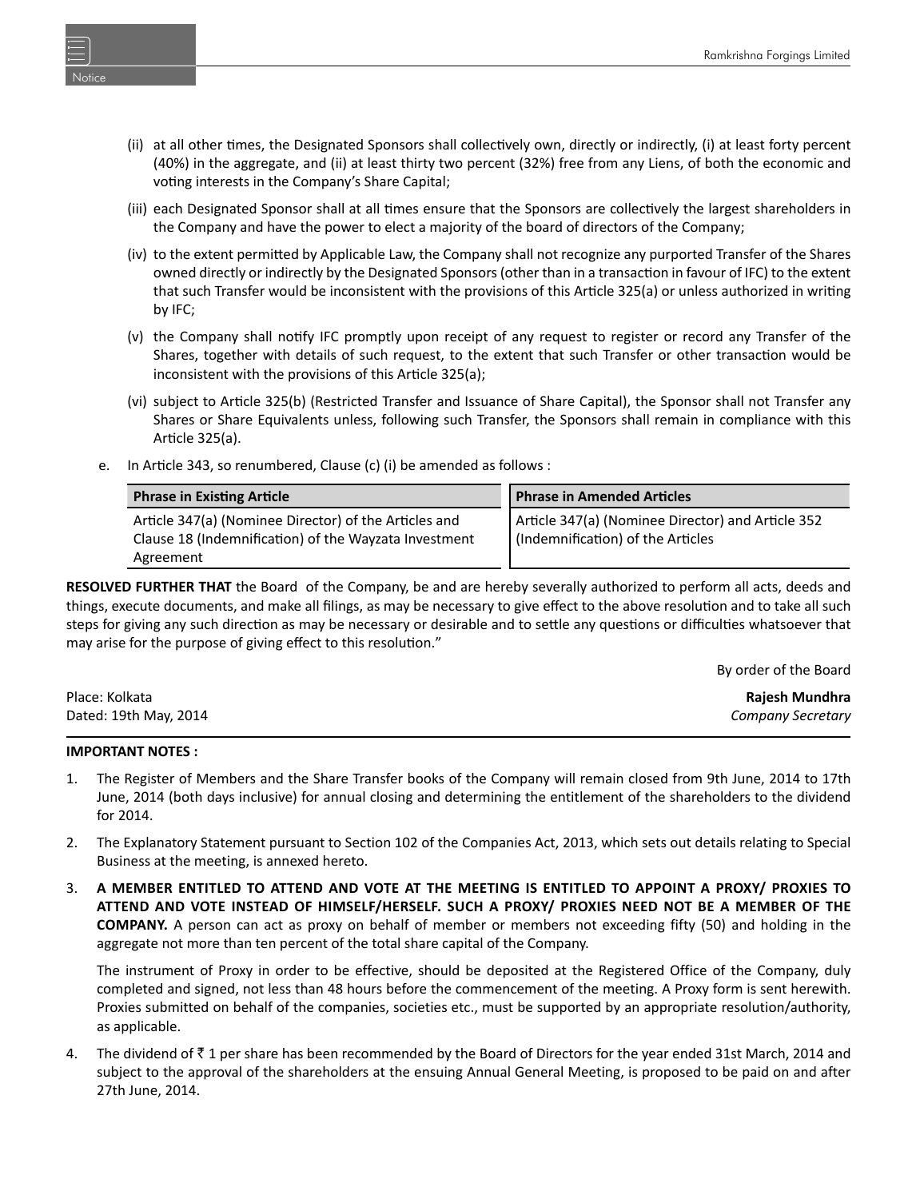- (ii) at all other times, the Designated Sponsors shall collectively own, directly or indirectly, (i) at least forty percent (40%) in the aggregate, and (ii) at least thirty two percent (32%) free from any Liens, of both the economic and voting interests in the Company's Share Capital;
- (iii) each Designated Sponsor shall at all times ensure that the Sponsors are collectively the largest shareholders in the Company and have the power to elect a majority of the board of directors of the Company;
- (iv) to the extent permitted by Applicable Law, the Company shall not recognize any purported Transfer of the Shares owned directly or indirectly by the Designated Sponsors (other than in a transaction in favour of IFC) to the extent that such Transfer would be inconsistent with the provisions of this Article 325(a) or unless authorized in writing by IFC;
- (v) the Company shall noƟfy IFC promptly upon receipt of any request to register or record any Transfer of the Shares, together with details of such request, to the extent that such Transfer or other transaction would be inconsistent with the provisions of this Article 325(a);
- (vi) subject to Article 325(b) (Restricted Transfer and Issuance of Share Capital), the Sponsor shall not Transfer any Shares or Share Equivalents unless, following such Transfer, the Sponsors shall remain in compliance with this Article 325(a).
- e. In Article 343, so renumbered, Clause (c) (i) be amended as follows :

| <b>Phrase in Existing Article</b>                                                                                           | <b>Phrase in Amended Articles</b>                                                      |  |
|-----------------------------------------------------------------------------------------------------------------------------|----------------------------------------------------------------------------------------|--|
| Article 347(a) (Nominee Director) of the Articles and<br>Clause 18 (Indemnification) of the Wayzata Investment<br>Agreement | Article 347(a) (Nominee Director) and Article 352<br>(Indemnification) of the Articles |  |

**RESOLVED FURTHER THAT** the Board of the Company, be and are hereby severally authorized to perform all acts, deeds and things, execute documents, and make all filings, as may be necessary to give effect to the above resolution and to take all such steps for giving any such direction as may be necessary or desirable and to settle any questions or difficulties whatsoever that may arise for the purpose of giving effect to this resolution."

By order of the Board

| Place: Kolkata        | Rajesh Mundhra    |
|-----------------------|-------------------|
| Dated: 19th May, 2014 | Company Secretary |

#### **IMPORTANT NOTES :**

- 1. The Register of Members and the Share Transfer books of the Company will remain closed from 9th June, 2014 to 17th June, 2014 (both days inclusive) for annual closing and determining the entitlement of the shareholders to the dividend for 2014.
- 2. The Explanatory Statement pursuant to Section 102 of the Companies Act, 2013, which sets out details relating to Special Business at the meeting, is annexed hereto.
- 3. **A MEMBER ENTITLED TO ATTEND AND VOTE AT THE MEETING IS ENTITLED TO APPOINT A PROXY/ PROXIES TO ATTEND AND VOTE INSTEAD OF HIMSELF/HERSELF. SUCH A PROXY/ PROXIES NEED NOT BE A MEMBER OF THE COMPANY.** A person can act as proxy on behalf of member or members not exceeding fifty (50) and holding in the aggregate not more than ten percent of the total share capital of the Company.

 The instrument of Proxy in order to be effective, should be deposited at the Registered Office of the Company, duly completed and signed, not less than 48 hours before the commencement of the meeting. A Proxy form is sent herewith. Proxies submitted on behalf of the companies, societies etc., must be supported by an appropriate resolution/authority, as applicable.

4. The dividend of ₹1 per share has been recommended by the Board of Directors for the year ended 31st March, 2014 and subject to the approval of the shareholders at the ensuing Annual General Meeting, is proposed to be paid on and after 27th June, 2014.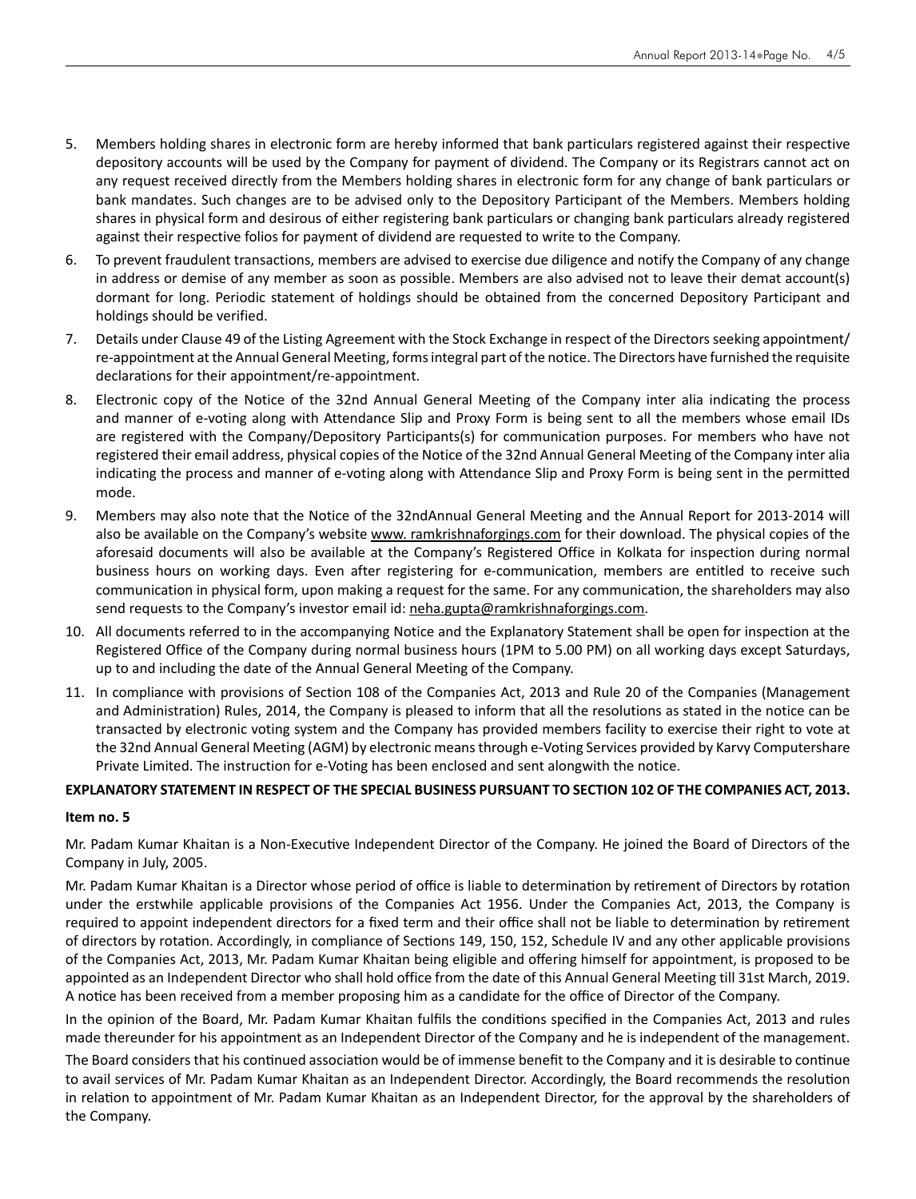- 5. Members holding shares in electronic form are hereby informed that bank particulars registered against their respective depository accounts will be used by the Company for payment of dividend. The Company or its Registrars cannot act on any request received directly from the Members holding shares in electronic form for any change of bank particulars or bank mandates. Such changes are to be advised only to the Depository Participant of the Members. Members holding shares in physical form and desirous of either registering bank particulars or changing bank particulars already registered against their respective folios for payment of dividend are requested to write to the Company.
- 6. To prevent fraudulent transactions, members are advised to exercise due diligence and notify the Company of any change in address or demise of any member as soon as possible. Members are also advised not to leave their demat account(s) dormant for long. Periodic statement of holdings should be obtained from the concerned Depository Participant and holdings should be verified.
- 7. Details under Clause 49 of the Listing Agreement with the Stock Exchange in respect of the Directors seeking appointment/ re-appointment at the Annual General Meeting, forms integral part of the notice. The Directors have furnished the requisite declarations for their appointment/re-appointment.
- 8. Electronic copy of the Notice of the 32nd Annual General Meeting of the Company inter alia indicating the process and manner of e-voting along with Attendance Slip and Proxy Form is being sent to all the members whose email IDs are registered with the Company/Depository Participants(s) for communication purposes. For members who have not registered their email address, physical copies of the Notice of the 32nd Annual General Meeting of the Company inter alia indicating the process and manner of e-voting along with Attendance Slip and Proxy Form is being sent in the permitted mode.
- 9. Members may also note that the Notice of the 32ndAnnual General Meeting and the Annual Report for 2013-2014 will also be available on the Company's website www. ramkrishnaforgings.com for their download. The physical copies of the aforesaid documents will also be available at the Company's Registered Office in Kolkata for inspection during normal business hours on working days. Even after registering for e-communication, members are entitled to receive such communication in physical form, upon making a request for the same. For any communication, the shareholders may also send requests to the Company's investor email id: neha.gupta@ramkrishnaforgings.com.
- 10. All documents referred to in the accompanying Notice and the Explanatory Statement shall be open for inspection at the Registered Office of the Company during normal business hours (1PM to 5.00 PM) on all working days except Saturdays, up to and including the date of the Annual General Meeting of the Company.
- 11. In compliance with provisions of Section 108 of the Companies Act, 2013 and Rule 20 of the Companies (Management and Administration) Rules, 2014, the Company is pleased to inform that all the resolutions as stated in the notice can be transacted by electronic voting system and the Company has provided members facility to exercise their right to vote at the 32nd Annual General Meeting (AGM) by electronic means through e-Voting Services provided by Karvy Computershare Private Limited. The instruction for e-Voting has been enclosed and sent alongwith the notice.

# **EXPLANATORY STATEMENT IN RESPECT OF THE SPECIAL BUSINESS PURSUANT TO SECTION 102 OF THE COMPANIES ACT, 2013.**

# **Item no. 5**

Mr. Padam Kumar Khaitan is a Non-Executive Independent Director of the Company. He joined the Board of Directors of the Company in July, 2005.

Mr. Padam Kumar Khaitan is a Director whose period of office is liable to determination by retirement of Directors by rotation under the erstwhile applicable provisions of the Companies Act 1956. Under the Companies Act, 2013, the Company is required to appoint independent directors for a fixed term and their office shall not be liable to determination by retirement of directors by rotation. Accordingly, in compliance of Sections 149, 150, 152, Schedule IV and any other applicable provisions of the Companies Act, 2013, Mr. Padam Kumar Khaitan being eligible and offering himself for appointment, is proposed to be appointed as an Independent Director who shall hold office from the date of this Annual General Meeting till 31st March, 2019. A notice has been received from a member proposing him as a candidate for the office of Director of the Company.

In the opinion of the Board, Mr. Padam Kumar Khaitan fulfils the conditions specified in the Companies Act, 2013 and rules made thereunder for his appointment as an Independent Director of the Company and he is independent of the management.

The Board considers that his continued association would be of immense benefit to the Company and it is desirable to continue to avail services of Mr. Padam Kumar Khaitan as an Independent Director. Accordingly, the Board recommends the resolution in relation to appointment of Mr. Padam Kumar Khaitan as an Independent Director, for the approval by the shareholders of the Company.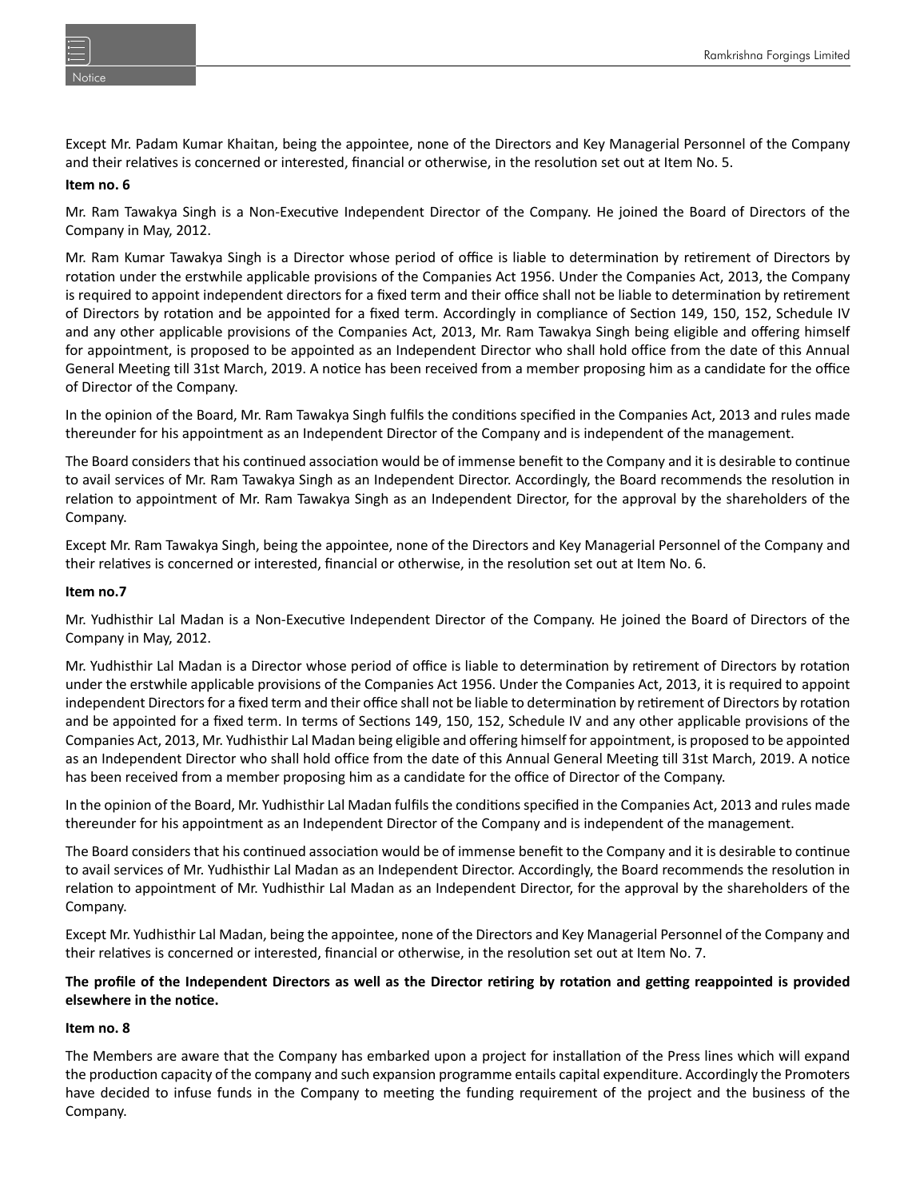Except Mr. Padam Kumar Khaitan, being the appointee, none of the Directors and Key Managerial Personnel of the Company and their relatives is concerned or interested, financial or otherwise, in the resolution set out at Item No. 5.

# **Item no. 6**

Mr. Ram Tawakya Singh is a Non-Executive Independent Director of the Company. He joined the Board of Directors of the Company in May, 2012.

Mr. Ram Kumar Tawakya Singh is a Director whose period of office is liable to determination by retirement of Directors by rotation under the erstwhile applicable provisions of the Companies Act 1956. Under the Companies Act, 2013, the Company is required to appoint independent directors for a fixed term and their office shall not be liable to determination by retirement of Directors by rotation and be appointed for a fixed term. Accordingly in compliance of Section 149, 150, 152, Schedule IV and any other applicable provisions of the Companies Act, 2013, Mr. Ram Tawakya Singh being eligible and offering himself for appointment, is proposed to be appointed as an Independent Director who shall hold office from the date of this Annual General Meeting till 31st March, 2019. A notice has been received from a member proposing him as a candidate for the office of Director of the Company.

In the opinion of the Board, Mr. Ram Tawakya Singh fulfils the conditions specified in the Companies Act, 2013 and rules made thereunder for his appointment as an Independent Director of the Company and is independent of the management.

The Board considers that his continued association would be of immense benefit to the Company and it is desirable to continue to avail services of Mr. Ram Tawakya Singh as an Independent Director. Accordingly, the Board recommends the resolution in relation to appointment of Mr. Ram Tawakya Singh as an Independent Director, for the approval by the shareholders of the Company.

Except Mr. Ram Tawakya Singh, being the appointee, none of the Directors and Key Managerial Personnel of the Company and their relatives is concerned or interested, financial or otherwise, in the resolution set out at Item No. 6.

### **Item no.7**

Mr. Yudhisthir Lal Madan is a Non-Executive Independent Director of the Company. He joined the Board of Directors of the Company in May, 2012.

Mr. Yudhisthir Lal Madan is a Director whose period of office is liable to determination by retirement of Directors by rotation under the erstwhile applicable provisions of the Companies Act 1956. Under the Companies Act, 2013, it is required to appoint independent Directors for a fixed term and their office shall not be liable to determination by retirement of Directors by rotation and be appointed for a fixed term. In terms of Sections 149, 150, 152, Schedule IV and any other applicable provisions of the Companies Act, 2013, Mr. Yudhisthir Lal Madan being eligible and offering himself for appointment, is proposed to be appointed as an Independent Director who shall hold office from the date of this Annual General Meeting till 31st March, 2019. A notice has been received from a member proposing him as a candidate for the office of Director of the Company.

In the opinion of the Board, Mr. Yudhisthir Lal Madan fulfils the conditions specified in the Companies Act, 2013 and rules made thereunder for his appointment as an Independent Director of the Company and is independent of the management.

The Board considers that his continued association would be of immense benefit to the Company and it is desirable to continue to avail services of Mr. Yudhisthir Lal Madan as an Independent Director. Accordingly, the Board recommends the resolution in relation to appointment of Mr. Yudhisthir Lal Madan as an Independent Director, for the approval by the shareholders of the Company.

Except Mr. Yudhisthir Lal Madan, being the appointee, none of the Directors and Key Managerial Personnel of the Company and their relatives is concerned or interested, financial or otherwise, in the resolution set out at Item No. 7.

# **The profile of the Independent Directors as well as the Director reƟring by rotaƟon and geƫng reappointed is provided elsewhere in the noƟce.**

# **Item no. 8**

The Members are aware that the Company has embarked upon a project for installation of the Press lines which will expand the production capacity of the company and such expansion programme entails capital expenditure. Accordingly the Promoters have decided to infuse funds in the Company to meeting the funding requirement of the project and the business of the Company.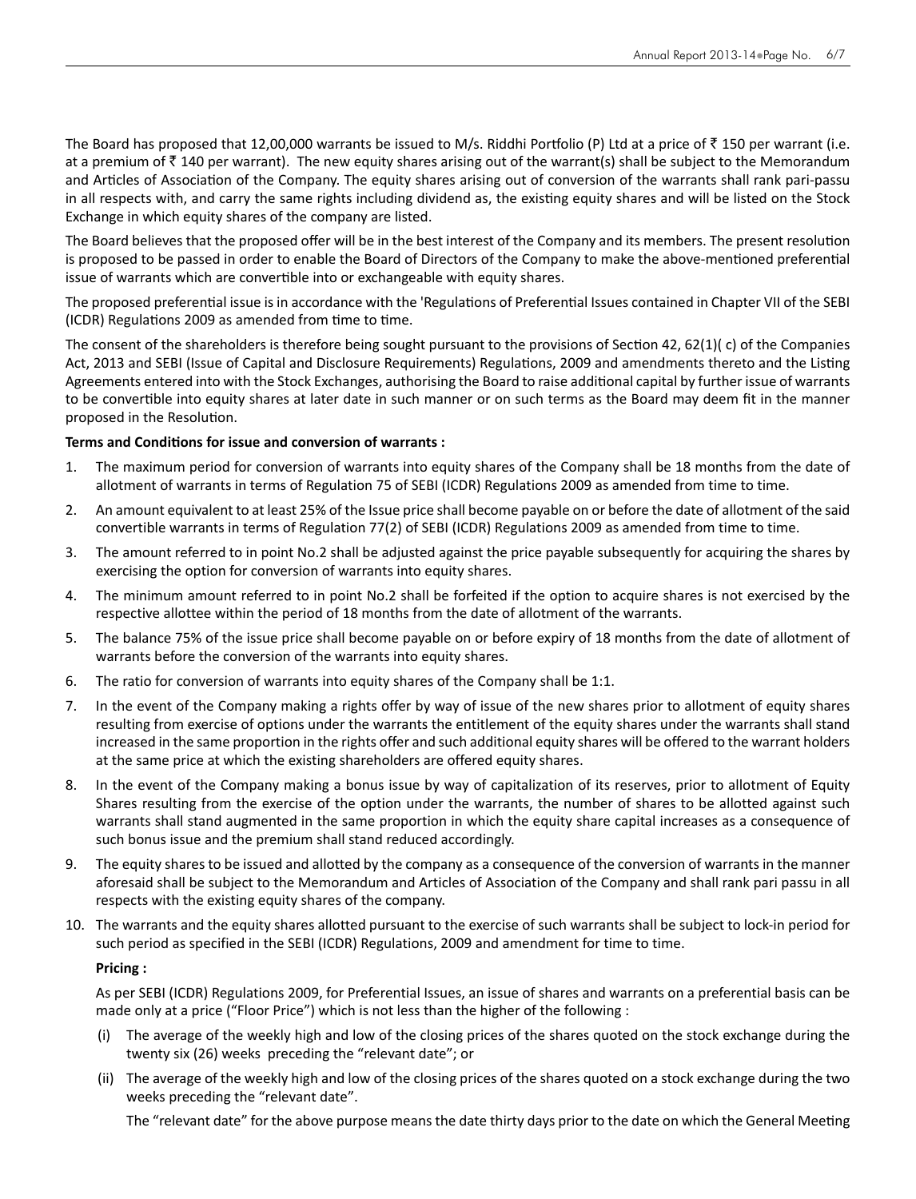The Board has proposed that 12,00,000 warrants be issued to M/s. Riddhi Portfolio (P) Ltd at a price of  $\bar{z}$  150 per warrant (i.e. at a premium of  $\bar{\tau}$  140 per warrant). The new equity shares arising out of the warrant(s) shall be subject to the Memorandum and Articles of Association of the Company. The equity shares arising out of conversion of the warrants shall rank pari-passu in all respects with, and carry the same rights including dividend as, the existing equity shares and will be listed on the Stock Exchange in which equity shares of the company are listed.

The Board believes that the proposed offer will be in the best interest of the Company and its members. The present resolution is proposed to be passed in order to enable the Board of Directors of the Company to make the above-mentioned preferential issue of warrants which are convertible into or exchangeable with equity shares.

The proposed preferential issue is in accordance with the 'Regulations of Preferential Issues contained in Chapter VII of the SEBI (ICDR) Regulations 2009 as amended from time to time.

The consent of the shareholders is therefore being sought pursuant to the provisions of Section 42, 62(1)( c) of the Companies Act, 2013 and SEBI (Issue of Capital and Disclosure Requirements) Regulations, 2009 and amendments thereto and the Listing Agreements entered into with the Stock Exchanges, authorising the Board to raise additional capital by further issue of warrants to be convertible into equity shares at later date in such manner or on such terms as the Board may deem fit in the manner proposed in the Resolution.

### **Terms and Conditions for issue and conversion of warrants :**

- 1. The maximum period for conversion of warrants into equity shares of the Company shall be 18 months from the date of allotment of warrants in terms of Regulation 75 of SEBI (ICDR) Regulations 2009 as amended from time to time.
- 2. An amount equivalent to at least 25% of the Issue price shall become payable on or before the date of allotment of the said convertible warrants in terms of Regulation 77(2) of SEBI (ICDR) Regulations 2009 as amended from time to time.
- 3. The amount referred to in point No.2 shall be adjusted against the price payable subsequently for acquiring the shares by exercising the option for conversion of warrants into equity shares.
- 4. The minimum amount referred to in point No.2 shall be forfeited if the option to acquire shares is not exercised by the respective allottee within the period of 18 months from the date of allotment of the warrants.
- 5. The balance 75% of the issue price shall become payable on or before expiry of 18 months from the date of allotment of warrants before the conversion of the warrants into equity shares.
- 6. The ratio for conversion of warrants into equity shares of the Company shall be 1:1.
- 7. In the event of the Company making a rights offer by way of issue of the new shares prior to allotment of equity shares resulting from exercise of options under the warrants the entitlement of the equity shares under the warrants shall stand increased in the same proportion in the rights offer and such additional equity shares will be offered to the warrant holders at the same price at which the existing shareholders are offered equity shares.
- 8. In the event of the Company making a bonus issue by way of capitalization of its reserves, prior to allotment of Equity Shares resulting from the exercise of the option under the warrants, the number of shares to be allotted against such warrants shall stand augmented in the same proportion in which the equity share capital increases as a consequence of such bonus issue and the premium shall stand reduced accordingly.
- 9. The equity shares to be issued and allotted by the company as a consequence of the conversion of warrants in the manner aforesaid shall be subject to the Memorandum and Articles of Association of the Company and shall rank pari passu in all respects with the existing equity shares of the company.
- 10. The warrants and the equity shares allotted pursuant to the exercise of such warrants shall be subject to lock-in period for such period as specified in the SEBI (ICDR) Regulations, 2009 and amendment for time to time.

# **Pricing :**

 As per SEBI (ICDR) Regulations 2009, for Preferential Issues, an issue of shares and warrants on a preferential basis can be made only at a price ("Floor Price") which is not less than the higher of the following :

- (i) The average of the weekly high and low of the closing prices of the shares quoted on the stock exchange during the twenty six (26) weeks preceding the "relevant date"; or
- (ii) The average of the weekly high and low of the closing prices of the shares quoted on a stock exchange during the two weeks preceding the "relevant date".

The "relevant date" for the above purpose means the date thirty days prior to the date on which the General Meeting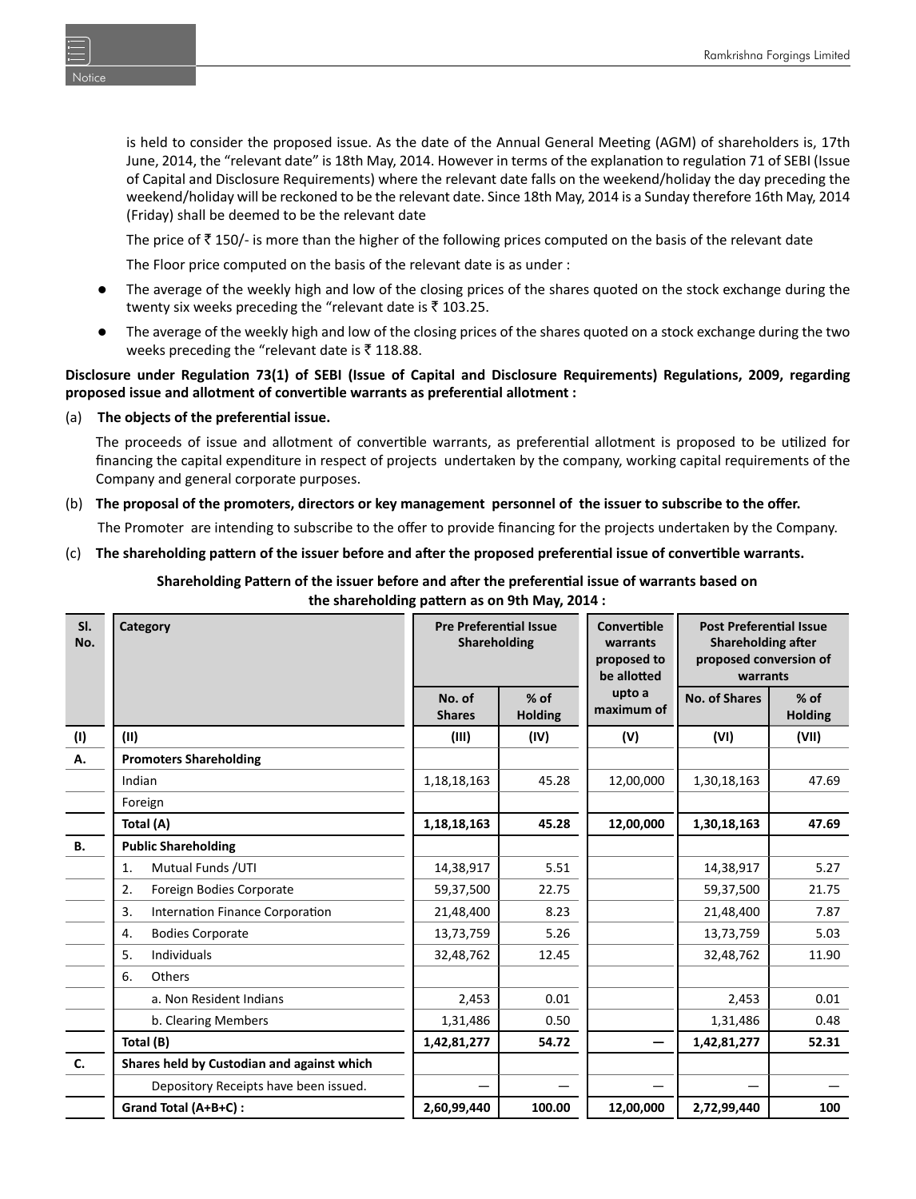is held to consider the proposed issue. As the date of the Annual General Meeting (AGM) of shareholders is, 17th June, 2014, the "relevant date" is 18th May, 2014. However in terms of the explanation to regulation 71 of SEBI (Issue of Capital and Disclosure Requirements) where the relevant date falls on the weekend/holiday the day preceding the weekend/holiday will be reckoned to be the relevant date. Since 18th May, 2014 is a Sunday therefore 16th May, 2014 (Friday) shall be deemed to be the relevant date

The price of  $\bar{z}$  150/- is more than the higher of the following prices computed on the basis of the relevant date

The Floor price computed on the basis of the relevant date is as under :

- The average of the weekly high and low of the closing prices of the shares quoted on the stock exchange during the twenty six weeks preceding the "relevant date is  $\bar{z}$  103.25.
- The average of the weekly high and low of the closing prices of the shares quoted on a stock exchange during the two weeks preceding the "relevant date is  $\bar{z}$  118.88.

### **Disclosure under Regulation 73(1) of SEBI (Issue of Capital and Disclosure Requirements) Regulations, 2009, regarding proposed issue and allotment of convertible warrants as preferential allotment :**

### (a) **The objects of the preferenƟal issue.**

The proceeds of issue and allotment of convertible warrants, as preferential allotment is proposed to be utilized for financing the capital expenditure in respect of projects undertaken by the company, working capital requirements of the Company and general corporate purposes.

(b) **The proposal of the promoters, directors or key management personnel of the issuer to subscribe to the offer.** The Promoter are intending to subscribe to the offer to provide financing for the projects undertaken by the Company.

### (c) **The shareholding paƩern of the issuer before and aŌer the proposed preferenƟal issue of converƟble warrants.**

**Shareholding PaƩern of the issuer before and aŌer the preferenƟal issue of warrants based on the shareholding paƩern as on 9th May, 2014 :**

| SI.<br>No. | Category                                   | <b>Pre Preferential Issue</b><br>Shareholding |                          | Convertible<br>warrants<br>proposed to<br>be allotted | <b>Post Preferential Issue</b><br><b>Shareholding after</b><br>proposed conversion of<br>warrants |                          |
|------------|--------------------------------------------|-----------------------------------------------|--------------------------|-------------------------------------------------------|---------------------------------------------------------------------------------------------------|--------------------------|
|            |                                            | No. of<br><b>Shares</b>                       | $%$ of<br><b>Holding</b> | upto a<br>maximum of                                  | <b>No. of Shares</b>                                                                              | $%$ of<br><b>Holding</b> |
| (1)        | (II)                                       | (III)                                         | (IV)                     | (V)                                                   | (VI)                                                                                              | (VII)                    |
| А.         | <b>Promoters Shareholding</b>              |                                               |                          |                                                       |                                                                                                   |                          |
|            | Indian                                     | 1, 18, 18, 163                                | 45.28                    | 12,00,000                                             | 1,30,18,163                                                                                       | 47.69                    |
|            | Foreign                                    |                                               |                          |                                                       |                                                                                                   |                          |
|            | Total (A)                                  | 1,18,18,163                                   | 45.28                    | 12,00,000                                             | 1,30,18,163                                                                                       | 47.69                    |
| <b>B.</b>  | <b>Public Shareholding</b>                 |                                               |                          |                                                       |                                                                                                   |                          |
|            | Mutual Funds / UTI<br>1.                   | 14,38,917                                     | 5.51                     |                                                       | 14,38,917                                                                                         | 5.27                     |
|            | Foreign Bodies Corporate<br>2.             | 59,37,500                                     | 22.75                    |                                                       | 59,37,500                                                                                         | 21.75                    |
|            | Internation Finance Corporation<br>3.      | 21,48,400                                     | 8.23                     |                                                       | 21,48,400                                                                                         | 7.87                     |
|            | <b>Bodies Corporate</b><br>4.              | 13,73,759                                     | 5.26                     |                                                       | 13,73,759                                                                                         | 5.03                     |
|            | <b>Individuals</b><br>5.                   | 32,48,762                                     | 12.45                    |                                                       | 32,48,762                                                                                         | 11.90                    |
|            | Others<br>6.                               |                                               |                          |                                                       |                                                                                                   |                          |
|            | a. Non Resident Indians                    | 2,453                                         | 0.01                     |                                                       | 2,453                                                                                             | 0.01                     |
|            | b. Clearing Members                        | 1,31,486                                      | 0.50                     |                                                       | 1,31,486                                                                                          | 0.48                     |
|            | Total (B)                                  | 1,42,81,277                                   | 54.72                    |                                                       | 1,42,81,277                                                                                       | 52.31                    |
| C.         | Shares held by Custodian and against which |                                               |                          |                                                       |                                                                                                   |                          |
|            | Depository Receipts have been issued.      |                                               |                          |                                                       |                                                                                                   |                          |
|            | Grand Total (A+B+C) :                      | 2,60,99,440                                   | 100.00                   | 12,00,000                                             | 2,72,99,440                                                                                       | 100                      |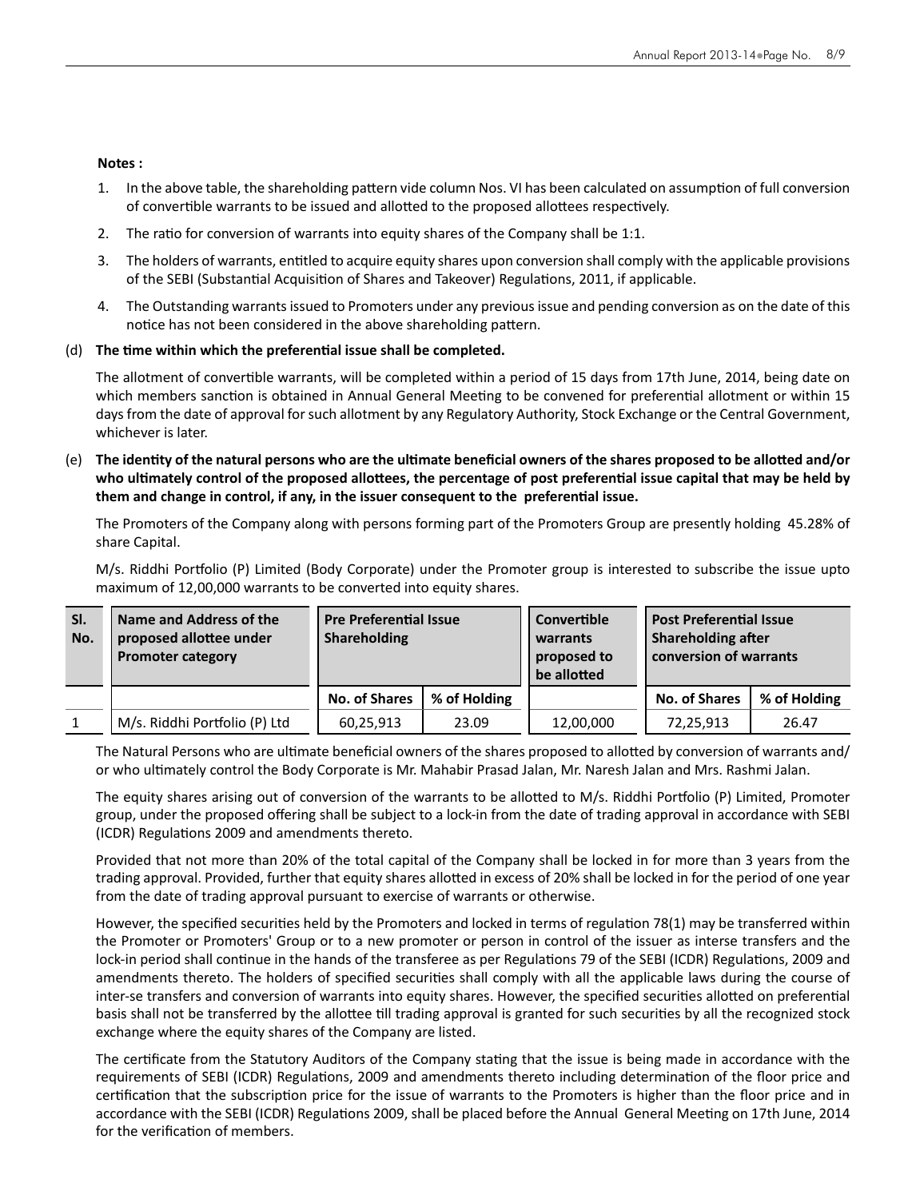#### **Notes :**

- 1. In the above table, the shareholding pattern vide column Nos. VI has been calculated on assumption of full conversion of convertible warrants to be issued and allotted to the proposed allottees respectively.
- 2. The ratio for conversion of warrants into equity shares of the Company shall be 1:1.
- 3. The holders of warrants, entitled to acquire equity shares upon conversion shall comply with the applicable provisions of the SEBI (Substantial Acquisition of Shares and Takeover) Regulations, 2011, if applicable.
- 4. The Outstanding warrants issued to Promoters under any previous issue and pending conversion as on the date of this notice has not been considered in the above shareholding pattern.

#### (d) **The Ɵme within which the preferenƟal issue shall be completed.**

The allotment of convertible warrants, will be completed within a period of 15 days from 17th June, 2014, being date on which members sanction is obtained in Annual General Meeting to be convened for preferential allotment or within 15 days from the date of approval for such allotment by any Regulatory Authority, Stock Exchange or the Central Government, whichever is later.

 $(e)$  The identity of the natural persons who are the ultimate beneficial owners of the shares proposed to be allotted and/or who ultimately control of the proposed allottees, the percentage of post preferential issue capital that may be held by **them and change in control, if any, in the issuer consequent to the preferential issue.** 

 The Promoters of the Company along with persons forming part of the Promoters Group are presently holding 45.28% of share Capital.

M/s. Riddhi Portfolio (P) Limited (Body Corporate) under the Promoter group is interested to subscribe the issue upto maximum of 12,00,000 warrants to be converted into equity shares.

| SI.<br>No. | Name and Address of the<br>proposed allottee under<br><b>Promoter category</b> | <b>Pre Preferential Issue</b><br><b>Shareholding</b> |              | Convertible<br>warrants<br>proposed to<br>be allotted |                      | <b>Post Preferential Issue</b><br><b>Shareholding after</b><br>conversion of warrants |  |
|------------|--------------------------------------------------------------------------------|------------------------------------------------------|--------------|-------------------------------------------------------|----------------------|---------------------------------------------------------------------------------------|--|
|            |                                                                                | <b>No. of Shares</b>                                 | % of Holding |                                                       | <b>No. of Shares</b> | % of Holding                                                                          |  |
|            | M/s. Riddhi Portfolio (P) Ltd                                                  | 60,25,913                                            | 23.09        | 12,00,000                                             | 72,25,913            | 26.47                                                                                 |  |

The Natural Persons who are ultimate beneficial owners of the shares proposed to allotted by conversion of warrants and/ or who ultimately control the Body Corporate is Mr. Mahabir Prasad Jalan, Mr. Naresh Jalan and Mrs. Rashmi Jalan.

The equity shares arising out of conversion of the warrants to be allotted to M/s. Riddhi Portfolio (P) Limited, Promoter group, under the proposed offering shall be subject to a lock-in from the date of trading approval in accordance with SEBI (ICDR) Regulations 2009 and amendments thereto.

 Provided that not more than 20% of the total capital of the Company shall be locked in for more than 3 years from the trading approval. Provided, further that equity shares allotted in excess of 20% shall be locked in for the period of one year from the date of trading approval pursuant to exercise of warrants or otherwise.

However, the specified securities held by the Promoters and locked in terms of regulation 78(1) may be transferred within the Promoter or Promoters' Group or to a new promoter or person in control of the issuer as interse transfers and the lock-in period shall continue in the hands of the transferee as per Regulations 79 of the SEBI (ICDR) Regulations, 2009 and amendments thereto. The holders of specified securities shall comply with all the applicable laws during the course of inter-se transfers and conversion of warrants into equity shares. However, the specified securities allotted on preferential basis shall not be transferred by the allottee till trading approval is granted for such securities by all the recognized stock exchange where the equity shares of the Company are listed.

The certificate from the Statutory Auditors of the Company stating that the issue is being made in accordance with the requirements of SEBI (ICDR) Regulations, 2009 and amendments thereto including determination of the floor price and certification that the subscription price for the issue of warrants to the Promoters is higher than the floor price and in accordance with the SEBI (ICDR) Regulations 2009, shall be placed before the Annual General Meeting on 17th June, 2014 for the verification of members.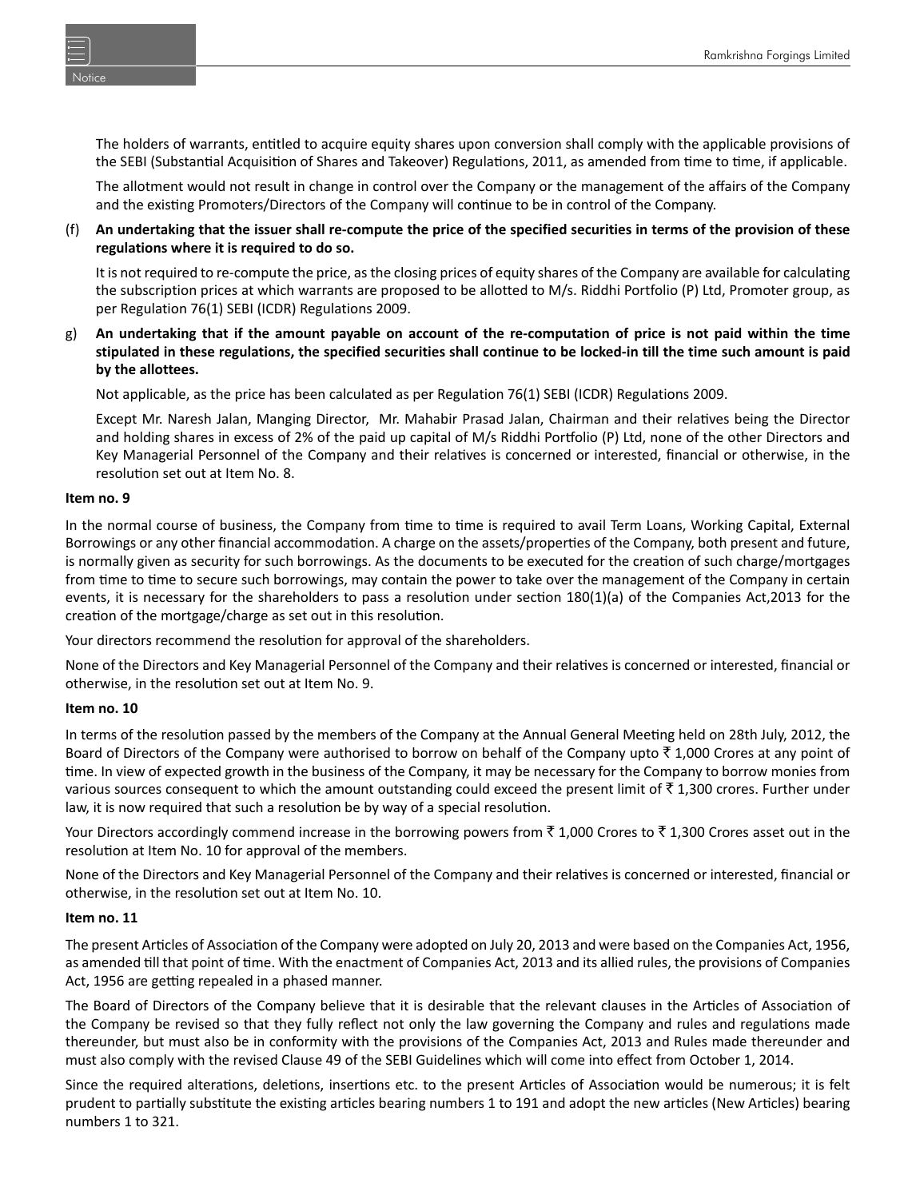Notice

The holders of warrants, entitled to acquire equity shares upon conversion shall comply with the applicable provisions of the SEBI (Substantial Acquisition of Shares and Takeover) Regulations, 2011, as amended from time to time, if applicable.

 The allotment would not result in change in control over the Company or the management of the affairs of the Company and the existing Promoters/Directors of the Company will continue to be in control of the Company.

(f) **An undertaking that the issuer shall re-compute the price of the specified securities in terms of the provision of these regulations where it is required to do so.**

 It is not required to re-compute the price, as the closing prices of equity shares of the Company are available for calculating the subscription prices at which warrants are proposed to be allotted to M/s. Riddhi Portfolio (P) Ltd, Promoter group, as per Regulation 76(1) SEBI (ICDR) Regulations 2009.

g) **An undertaking that if the amount payable on account of the re-computation of price is not paid within the time stipulated in these regulations, the specified securities shall continue to be locked-in till the time such amount is paid by the allottees.** 

Not applicable, as the price has been calculated as per Regulation 76(1) SEBI (ICDR) Regulations 2009.

Except Mr. Naresh Jalan, Manging Director, Mr. Mahabir Prasad Jalan, Chairman and their relatives being the Director and holding shares in excess of 2% of the paid up capital of M/s Riddhi Portfolio (P) Ltd, none of the other Directors and Key Managerial Personnel of the Company and their relatives is concerned or interested, financial or otherwise, in the resolution set out at Item No. 8.

#### **Item no. 9**

In the normal course of business, the Company from time to time is required to avail Term Loans, Working Capital, External Borrowings or any other financial accommodation. A charge on the assets/properties of the Company, both present and future, is normally given as security for such borrowings. As the documents to be executed for the creation of such charge/mortgages from time to time to secure such borrowings, may contain the power to take over the management of the Company in certain events, it is necessary for the shareholders to pass a resolution under section 180(1)(a) of the Companies Act,2013 for the creation of the mortgage/charge as set out in this resolution.

Your directors recommend the resolution for approval of the shareholders.

None of the Directors and Key Managerial Personnel of the Company and their relatives is concerned or interested, financial or otherwise, in the resolution set out at Item No. 9.

#### **Item no. 10**

In terms of the resolution passed by the members of the Company at the Annual General Meeting held on 28th July, 2012, the Board of Directors of the Company were authorised to borrow on behalf of the Company upto  $\bar{\tau}$  1,000 Crores at any point of time. In view of expected growth in the business of the Company, it may be necessary for the Company to borrow monies from various sources consequent to which the amount outstanding could exceed the present limit of  $\bar{f}$  1,300 crores. Further under law, it is now required that such a resolution be by way of a special resolution.

Your Directors accordingly commend increase in the borrowing powers from  $\bar{\tau}$  1,000 Crores to  $\bar{\tau}$  1,300 Crores asset out in the resolution at Item No. 10 for approval of the members.

None of the Directors and Key Managerial Personnel of the Company and their relatives is concerned or interested, financial or otherwise, in the resolution set out at Item No. 10.

#### **Item no. 11**

The present Articles of Association of the Company were adopted on July 20, 2013 and were based on the Companies Act, 1956, as amended till that point of time. With the enactment of Companies Act, 2013 and its allied rules, the provisions of Companies Act, 1956 are getting repealed in a phased manner.

The Board of Directors of the Company believe that it is desirable that the relevant clauses in the Articles of Association of the Company be revised so that they fully reflect not only the law governing the Company and rules and regulations made thereunder, but must also be in conformity with the provisions of the Companies Act, 2013 and Rules made thereunder and must also comply with the revised Clause 49 of the SEBI Guidelines which will come into effect from October 1, 2014.

Since the required alterations, deletions, insertions etc. to the present Articles of Association would be numerous; it is felt prudent to partially substitute the existing articles bearing numbers 1 to 191 and adopt the new articles (New Articles) bearing numbers 1 to 321.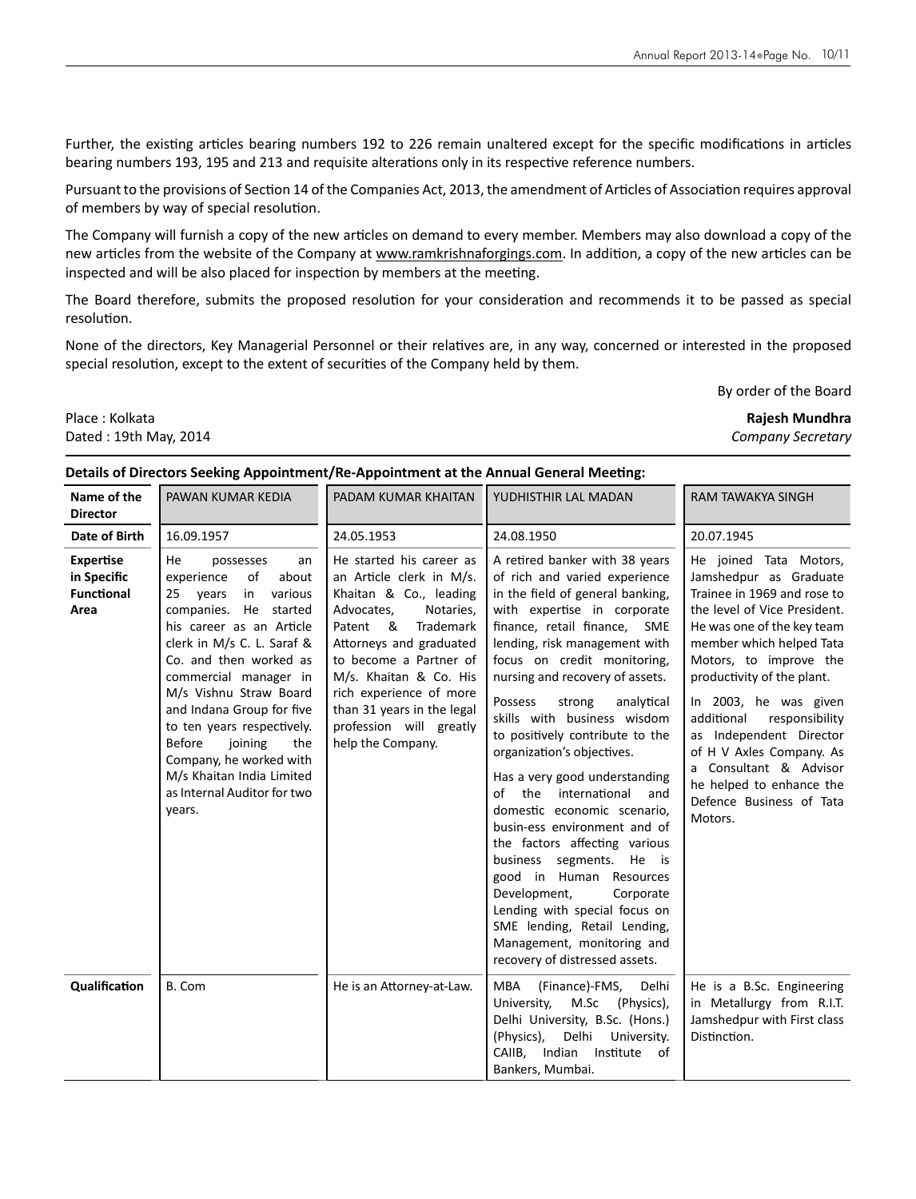Further, the existing articles bearing numbers 192 to 226 remain unaltered except for the specific modifications in articles bearing numbers 193, 195 and 213 and requisite alterations only in its respective reference numbers.

Pursuant to the provisions of Section 14 of the Companies Act, 2013, the amendment of Articles of Association requires approval of members by way of special resolution.

The Company will furnish a copy of the new articles on demand to every member. Members may also download a copy of the new articles from the website of the Company at www.ramkrishnaforgings.com. In addition, a copy of the new articles can be inspected and will be also placed for inspection by members at the meeting.

The Board therefore, submits the proposed resolution for your consideration and recommends it to be passed as special resolution.

None of the directors, Key Managerial Personnel or their relatives are, in any way, concerned or interested in the proposed special resolution, except to the extent of securities of the Company held by them.

By order of the Board

Place : Kolkata **Rajesh Mundhra**

# Dated : 19th May, 2014 *Company Secretary*

#### **Details of Directors Seeking Appointment/Re-Appointment at the Annual General Meeting:**

| Name of the<br><b>Director</b>                               | PAWAN KUMAR KEDIA                                                                                                                                                                                                                                                                                                                                                                                                                              | PADAM KUMAR KHAITAN                                                                                                                                                                                                                                                                                                        | YUDHISTHIR LAL MADAN                                                                                                                                                                                                                                                                                                                                                                                                                                                                                                                                                                                                                                                                                                                                                                          | <b>RAM TAWAKYA SINGH</b>                                                                                                                                                                                                                                                                                                                                                                                                                       |
|--------------------------------------------------------------|------------------------------------------------------------------------------------------------------------------------------------------------------------------------------------------------------------------------------------------------------------------------------------------------------------------------------------------------------------------------------------------------------------------------------------------------|----------------------------------------------------------------------------------------------------------------------------------------------------------------------------------------------------------------------------------------------------------------------------------------------------------------------------|-----------------------------------------------------------------------------------------------------------------------------------------------------------------------------------------------------------------------------------------------------------------------------------------------------------------------------------------------------------------------------------------------------------------------------------------------------------------------------------------------------------------------------------------------------------------------------------------------------------------------------------------------------------------------------------------------------------------------------------------------------------------------------------------------|------------------------------------------------------------------------------------------------------------------------------------------------------------------------------------------------------------------------------------------------------------------------------------------------------------------------------------------------------------------------------------------------------------------------------------------------|
| Date of Birth                                                | 16.09.1957                                                                                                                                                                                                                                                                                                                                                                                                                                     | 24.05.1953                                                                                                                                                                                                                                                                                                                 | 24.08.1950                                                                                                                                                                                                                                                                                                                                                                                                                                                                                                                                                                                                                                                                                                                                                                                    | 20.07.1945                                                                                                                                                                                                                                                                                                                                                                                                                                     |
| <b>Expertise</b><br>in Specific<br><b>Functional</b><br>Area | He<br>possesses<br>an<br>experience<br>of<br>about<br>various<br>25 years<br>in<br>companies. He started<br>his career as an Article<br>clerk in M/s C. L. Saraf &<br>Co. and then worked as<br>commercial manager in<br>M/s Vishnu Straw Board<br>and Indana Group for five<br>to ten years respectively.<br><b>Before</b><br>joining<br>the<br>Company, he worked with<br>M/s Khaitan India Limited<br>as Internal Auditor for two<br>years. | He started his career as<br>an Article clerk in M/s.<br>Khaitan & Co., leading<br>Advocates,<br>Notaries,<br>Patent &<br>Trademark<br>Attorneys and graduated<br>to become a Partner of<br>M/s. Khaitan & Co. His<br>rich experience of more<br>than 31 years in the legal<br>profession will greatly<br>help the Company. | A retired banker with 38 years<br>of rich and varied experience<br>in the field of general banking,<br>with expertise in corporate<br>finance, retail finance, SME<br>lending, risk management with<br>focus on credit monitoring,<br>nursing and recovery of assets.<br>Possess<br>strong<br>analytical<br>skills with business wisdom<br>to positively contribute to the<br>organization's objectives.<br>Has a very good understanding<br>of the international<br>and<br>domestic economic scenario,<br>busin-ess environment and of<br>the factors affecting various<br>business segments. He is<br>good in Human Resources<br>Development,<br>Corporate<br>Lending with special focus on<br>SME lending, Retail Lending,<br>Management, monitoring and<br>recovery of distressed assets. | He joined Tata Motors,<br>Jamshedpur as Graduate<br>Trainee in 1969 and rose to<br>the level of Vice President.<br>He was one of the key team<br>member which helped Tata<br>Motors, to improve the<br>productivity of the plant.<br>In 2003, he was given<br>additional<br>responsibility<br>as Independent Director<br>of H V Axles Company. As<br>a Consultant & Advisor<br>he helped to enhance the<br>Defence Business of Tata<br>Motors. |
| Qualification                                                | B. Com                                                                                                                                                                                                                                                                                                                                                                                                                                         | He is an Attorney-at-Law.                                                                                                                                                                                                                                                                                                  | MBA<br>(Finance)-FMS,<br>Delhi<br>University,<br>M.Sc<br>(Physics),<br>Delhi University, B.Sc. (Hons.)<br>Delhi<br>(Physics),<br>University.<br>CAIIB, Indian Institute<br>of<br>Bankers, Mumbai.                                                                                                                                                                                                                                                                                                                                                                                                                                                                                                                                                                                             | He is a B.Sc. Engineering<br>in Metallurgy from R.I.T.<br>Jamshedpur with First class<br>Distinction.                                                                                                                                                                                                                                                                                                                                          |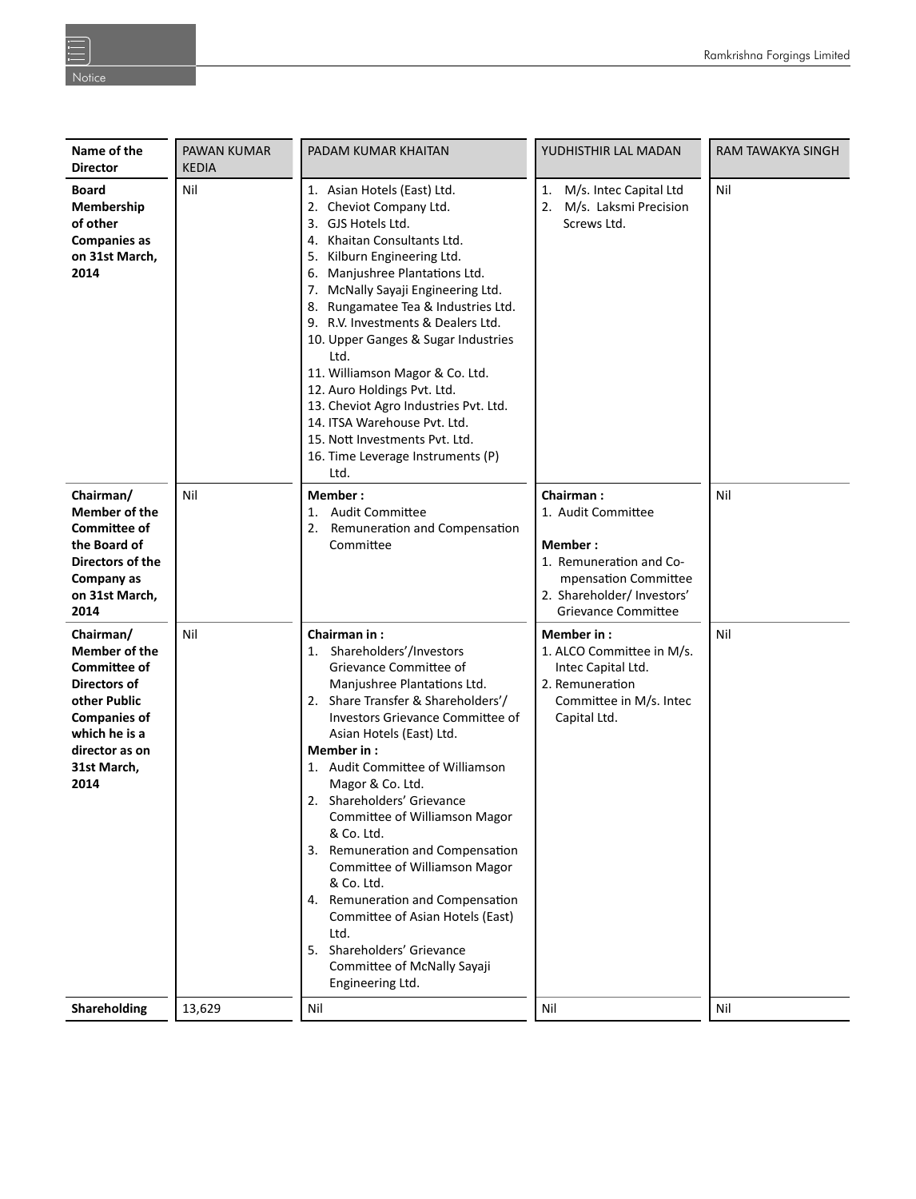| Name of the<br><b>Director</b>                                                                                                                                            | PAWAN KUMAR<br><b>KEDIA</b>                                                                                                                                                                                                       | PADAM KUMAR KHAITAN                                                                                                                                                                                                                                                                                                                                                                                                                                                                                                                                                                                              | YUDHISTHIR LAL MADAN                                                                                                        | RAM TAWAKYA SINGH |
|---------------------------------------------------------------------------------------------------------------------------------------------------------------------------|-----------------------------------------------------------------------------------------------------------------------------------------------------------------------------------------------------------------------------------|------------------------------------------------------------------------------------------------------------------------------------------------------------------------------------------------------------------------------------------------------------------------------------------------------------------------------------------------------------------------------------------------------------------------------------------------------------------------------------------------------------------------------------------------------------------------------------------------------------------|-----------------------------------------------------------------------------------------------------------------------------|-------------------|
| Nil<br><b>Board</b><br>Membership<br>of other<br><b>Companies as</b><br>on 31st March,<br>2014                                                                            |                                                                                                                                                                                                                                   | 1. Asian Hotels (East) Ltd.<br>2. Cheviot Company Ltd.<br>3. GJS Hotels Ltd.<br>4. Khaitan Consultants Ltd.<br>5. Kilburn Engineering Ltd.<br>6. Manjushree Plantations Ltd.<br>7. McNally Sayaji Engineering Ltd.<br>8. Rungamatee Tea & Industries Ltd.<br>9. R.V. Investments & Dealers Ltd.<br>10. Upper Ganges & Sugar Industries<br>Ltd.<br>11. Williamson Magor & Co. Ltd.<br>12. Auro Holdings Pvt. Ltd.<br>13. Cheviot Agro Industries Pvt. Ltd.<br>14. ITSA Warehouse Pvt. Ltd.<br>15. Nott Investments Pvt. Ltd.<br>16. Time Leverage Instruments (P)<br>Ltd.                                         | 1. M/s. Intec Capital Ltd<br>M/s. Laksmi Precision<br>2.<br>Screws Ltd.                                                     | Nil               |
| Chairman/<br>Member of the<br><b>Committee of</b><br>the Board of<br>Directors of the<br>Company as<br>on 31st March,<br>2014                                             | Nil<br>Member:<br>Chairman:<br><b>Audit Committee</b><br>1. Audit Committee<br>1.<br>Remuneration and Compensation<br>2.<br>Committee<br>Member:<br>1. Remuneration and Co-<br>mpensation Committee<br>2. Shareholder/ Investors' |                                                                                                                                                                                                                                                                                                                                                                                                                                                                                                                                                                                                                  | <b>Grievance Committee</b>                                                                                                  | Nil               |
| Chairman/<br>Nil<br>Member of the<br><b>Committee of</b><br>Directors of<br>other Public<br><b>Companies of</b><br>which he is a<br>director as on<br>31st March,<br>2014 |                                                                                                                                                                                                                                   | Chairman in:<br>1. Shareholders'/Investors<br>Grievance Committee of<br>Manjushree Plantations Ltd.<br>2. Share Transfer & Shareholders'/<br>Investors Grievance Committee of<br>Asian Hotels (East) Ltd.<br>Member in:<br>1. Audit Committee of Williamson<br>Magor & Co. Ltd.<br>2. Shareholders' Grievance<br>Committee of Williamson Magor<br>& Co. Ltd.<br>3. Remuneration and Compensation<br>Committee of Williamson Magor<br>& Co. Ltd.<br>4. Remuneration and Compensation<br>Committee of Asian Hotels (East)<br>Ltd.<br>5. Shareholders' Grievance<br>Committee of McNally Sayaji<br>Engineering Ltd. | Member in:<br>1. ALCO Committee in M/s.<br>Intec Capital Ltd.<br>2. Remuneration<br>Committee in M/s. Intec<br>Capital Ltd. | Nil               |
| Shareholding                                                                                                                                                              | 13,629                                                                                                                                                                                                                            | Nil                                                                                                                                                                                                                                                                                                                                                                                                                                                                                                                                                                                                              | Nil                                                                                                                         | Nil               |
|                                                                                                                                                                           |                                                                                                                                                                                                                                   |                                                                                                                                                                                                                                                                                                                                                                                                                                                                                                                                                                                                                  |                                                                                                                             |                   |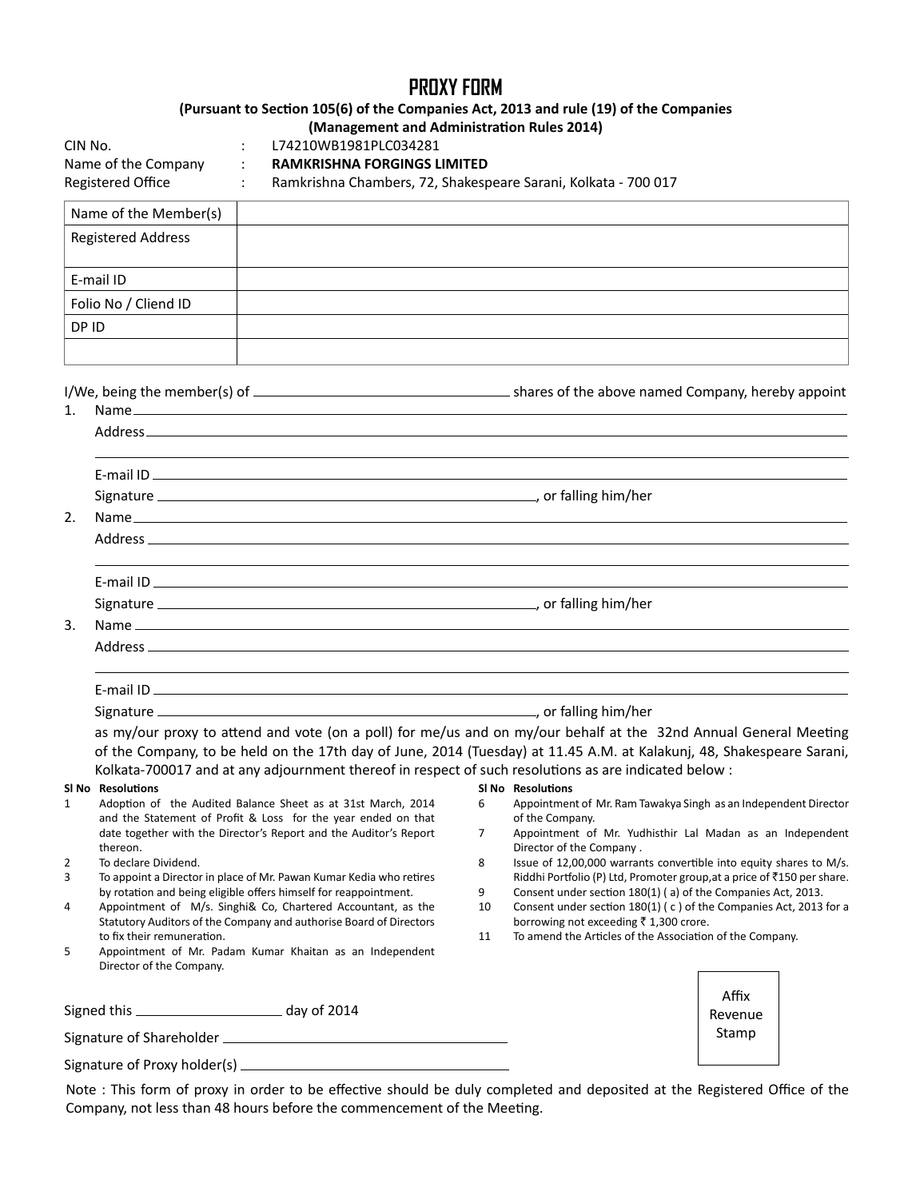# **PROXY FORM**

# **(Pursuant to SecƟon 105(6) of the Companies Act, 2013 and rule (19) of the Companies**

**(Management and AdministraƟon Rules 2014)**

| CIN No.             |  |
|---------------------|--|
| Name of the Company |  |
|                     |  |

: L74210WB1981PLC034281

RAMKRISHNA FORGINGS LIMITED

Registered Office : Ramkrishna Chambers, 72, Shakespeare Sarani, Kolkata - 700 017

| Name of the Member(s)     |  |
|---------------------------|--|
| <b>Registered Address</b> |  |
| E-mail ID                 |  |
| Folio No / Cliend ID      |  |
| DP ID                     |  |
|                           |  |

 $I/W$ e, being the member(s) of  $\sim$  shares of the above named Company, hereby appoint

| 1. |                                                                                                                                                                                                                                |
|----|--------------------------------------------------------------------------------------------------------------------------------------------------------------------------------------------------------------------------------|
|    |                                                                                                                                                                                                                                |
|    |                                                                                                                                                                                                                                |
|    |                                                                                                                                                                                                                                |
|    |                                                                                                                                                                                                                                |
| 2. |                                                                                                                                                                                                                                |
|    |                                                                                                                                                                                                                                |
|    |                                                                                                                                                                                                                                |
|    |                                                                                                                                                                                                                                |
| 3. |                                                                                                                                                                                                                                |
|    | Address experiences and the contract of the contract of the contract of the contract of the contract of the contract of the contract of the contract of the contract of the contract of the contract of the contract of the co |
|    |                                                                                                                                                                                                                                |
|    |                                                                                                                                                                                                                                |
|    |                                                                                                                                                                                                                                |

as my/our proxy to attend and vote (on a poll) for me/us and on my/our behalf at the 32nd Annual General Meeting of the Company, to be held on the 17th day of June, 2014 (Tuesday) at 11.45 A.M. at Kalakunj, 48, Shakespeare Sarani, Kolkata-700017 and at any adjournment thereof in respect of such resolutions as are indicated below :

**Sl No ResoluƟons**

of the Company.

Director of the Company .

6 Appointment of Mr. Ram Tawakya Singh as an Independent Director

7 Appointment of Mr. Yudhisthir Lal Madan as an Independent

8 Issue of 12,00,000 warrants convertible into equity shares to M/s. Riddhi Portfolio (P) Ltd, Promoter group, at a price of ₹150 per share.

Consent under section 180(1) ( c ) of the Companies Act, 2013 for a

Affix Revenue Stamp

9 Consent under section 180(1) (a) of the Companies Act, 2013.<br>10 Consent under section 180(1) (c) of the Companies Act, 2013

borrowing not exceeding  $\bar{z}$  1,300 crore. 11 To amend the Articles of the Association of the Company.

#### **Sl No ResoluƟons**

- 1 Adoption of the Audited Balance Sheet as at 31st March, 2014 and the Statement of Profit & Loss for the year ended on that date together with the Director's Report and the Auditor's Report thereon.
- 2 To declare Dividend.
- 3 To appoint a Director in place of Mr. Pawan Kumar Kedia who retires by rotation and being eligible offers himself for reappointment.
- 4 Appointment of M/s. Singhi& Co, Chartered Accountant, as the Statutory Auditors of the Company and authorise Board of Directors to fix their remuneration.
- 5 Appointment of Mr. Padam Kumar Khaitan as an Independent Director of the Company.

Signed this \_\_\_\_\_\_\_\_\_\_\_\_\_\_\_\_\_\_\_\_\_\_\_\_\_\_\_\_\_\_\_\_ day of 2014

Signature of Shareholder

Signature of Proxy holder(s) \_\_\_\_\_\_\_\_\_

Note : This form of proxy in order to be effective should be duly completed and deposited at the Registered Office of the Company, not less than 48 hours before the commencement of the Meeting.